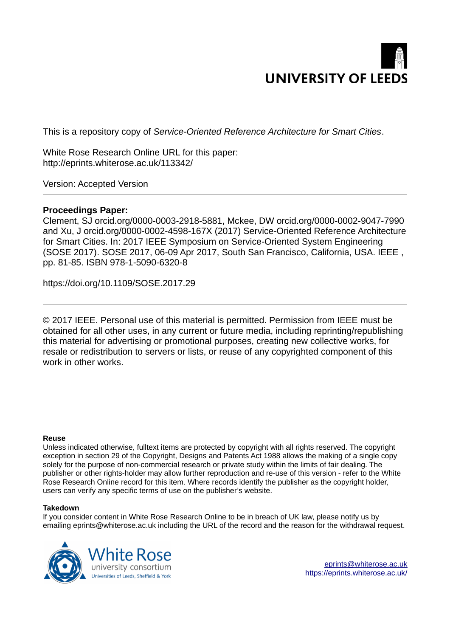

This is a repository copy of *Service-Oriented Reference Architecture for Smart Cities*.

White Rose Research Online URL for this paper: http://eprints.whiterose.ac.uk/113342/

Version: Accepted Version

## **Proceedings Paper:**

Clement, SJ orcid.org/0000-0003-2918-5881, Mckee, DW orcid.org/0000-0002-9047-7990 and Xu, J orcid.org/0000-0002-4598-167X (2017) Service-Oriented Reference Architecture for Smart Cities. In: 2017 IEEE Symposium on Service-Oriented System Engineering (SOSE 2017). SOSE 2017, 06-09 Apr 2017, South San Francisco, California, USA. IEEE , pp. 81-85. ISBN 978-1-5090-6320-8

https://doi.org/10.1109/SOSE.2017.29

© 2017 IEEE. Personal use of this material is permitted. Permission from IEEE must be obtained for all other uses, in any current or future media, including reprinting/republishing this material for advertising or promotional purposes, creating new collective works, for resale or redistribution to servers or lists, or reuse of any copyrighted component of this work in other works.

## **Reuse**

Unless indicated otherwise, fulltext items are protected by copyright with all rights reserved. The copyright exception in section 29 of the Copyright, Designs and Patents Act 1988 allows the making of a single copy solely for the purpose of non-commercial research or private study within the limits of fair dealing. The publisher or other rights-holder may allow further reproduction and re-use of this version - refer to the White Rose Research Online record for this item. Where records identify the publisher as the copyright holder, users can verify any specific terms of use on the publisher's website.

## **Takedown**

If you consider content in White Rose Research Online to be in breach of UK law, please notify us by emailing eprints@whiterose.ac.uk including the URL of the record and the reason for the withdrawal request.

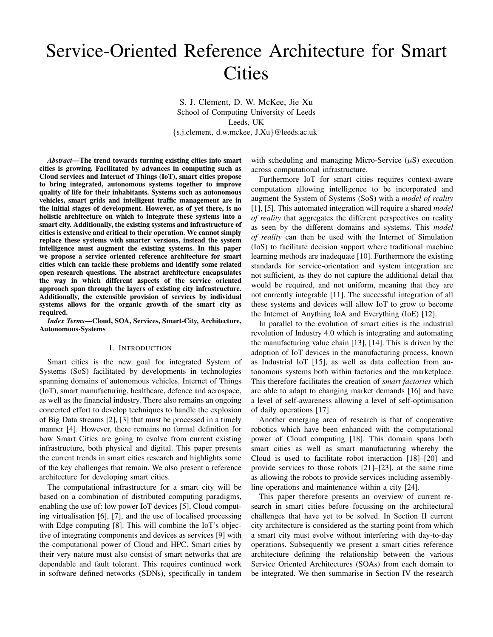# Service-Oriented Reference Architecture for Smart **Cities**

S. J. Clement, D. W. McKee, Jie Xu School of Computing University of Leeds Leeds, UK {s.j.clement, d.w.mckee, J.Xu}@leeds.ac.uk

*Abstract*—The trend towards turning existing cities into smart cities is growing. Facilitated by advances in computing such as Cloud services and Internet of Things (IoT), smart cities propose to bring integrated, autonomous systems together to improve quality of life for their inhabitants. Systems such as autonomous vehicles, smart grids and intelligent traffic management are in the initial stages of development. However, as of yet there, is no holistic architecture on which to integrate these systems into a smart city. Additionally, the existing systems and infrastructure of cities is extensive and critical to their operation. We cannot simply replace these systems with smarter versions, instead the system intelligence must augment the existing systems. In this paper we propose a service oriented reference architecture for smart cities which can tackle these problems and identify some related open research questions. The abstract architecture encapsulates the way in which different aspects of the service oriented approach span through the layers of existing city infrastructure. Additionally, the extensible provision of services by individual systems allows for the organic growth of the smart city as required.

*Index Terms*—Cloud, SOA, Services, Smart-City, Architecture, Autonomous-Systems

### I. INTRODUCTION

Smart cities is the new goal for integrated System of Systems (SoS) facilitated by developments in technologies spanning domains of autonomous vehicles, Internet of Things (IoT), smart manufacturing, healthcare, defence and aerospace, as well as the financial industry. There also remains an ongoing concerted effort to develop techniques to handle the explosion of Big Data streams [2], [3] that must be processed in a timely manner [4]. However, there remains no formal definition for how Smart Cities are going to evolve from current existing infrastructure, both physical and digital. This paper presents the current trends in smart cities research and highlights some of the key challenges that remain. We also present a reference architecture for developing smart cities.

The computational infrastructure for a smart city will be based on a combination of distributed computing paradigms, enabling the use of: low power IoT devices [5], Cloud computing virtualisation [6], [7], and the use of localised processing with Edge computing [8]. This will combine the IoT's objective of integrating components and devices as services [9] with the computational power of Cloud and HPC. Smart cities by their very nature must also consist of smart networks that are dependable and fault tolerant. This requires continued work in software defined networks (SDNs), specifically in tandem

with scheduling and managing Micro-Service  $(\mu S)$  execution across computational infrastructure.

Furthermore IoT for smart cities requires context-aware computation allowing intelligence to be incorporated and augment the System of Systems (SoS) with a *model of reality* [1], [5]. This automated integration will require a shared *model of reality* that aggregates the different perspectives on reality as seen by the different domains and systems. This *model of reality* can then be used with the Internet of Simulation (IoS) to facilitate decision support where traditional machine learning methods are inadequate [10]. Furthermore the existing standards for service-orientation and system integration are not sufficient, as they do not capture the additional detail that would be required, and not uniform, meaning that they are not currently integrable [11]. The successful integration of all these systems and devices will allow IoT to grow to become the Internet of Anything IoA and Everything (IoE) [12].

In parallel to the evolution of smart cities is the industrial revolution of Industry 4.0 which is integrating and automating the manufacturing value chain [13], [14]. This is driven by the adoption of IoT devices in the manufacturing process, known as Industrial IoT [15], as well as data collection from autonomous systems both within factories and the marketplace. This therefore facilitates the creation of *smart factories* which are able to adapt to changing market demands [16] and have a level of self-awareness allowing a level of self-optimisation of daily operations [17].

Another emerging area of research is that of cooperative robotics which have been enhanced with the computational power of Cloud computing [18]. This domain spans both smart cities as well as smart manufacturing whereby the Cloud is used to facilitate robot interaction [18]–[20] and provide services to those robots [21]–[23], at the same time as allowing the robots to provide services including assemblyline operations and maintenance within a city [24].

This paper therefore presents an overview of current research in smart cities before focussing on the architectural challenges that have yet to be solved. In Section II current city architecture is considered as the starting point from which a smart city must evolve without interfering with day-to-day operations. Subsequently we present a smart cities reference architecture defining the relationship between the various Service Oriented Architectures (SOAs) from each domain to be integrated. We then summarise in Section IV the research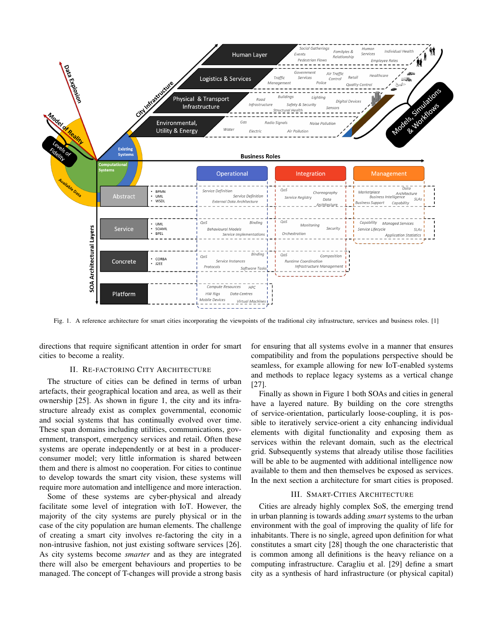

Fig. 1. A reference architecture for smart cities incorporating the viewpoints of the traditional city infrastructure, services and business roles. [1]

directions that require significant attention in order for smart cities to become a reality.

#### II. RE-FACTORING CITY ARCHITECTURE

The structure of cities can be defined in terms of urban artefacts, their geographical location and area, as well as their ownership [25]. As shown in figure 1, the city and its infrastructure already exist as complex governmental, economic and social systems that has continually evolved over time. These span domains including utilities, communications, government, transport, emergency services and retail. Often these systems are operate independently or at best in a producerconsumer model; very little information is shared between them and there is almost no cooperation. For cities to continue to develop towards the smart city vision, these systems will require more automation and intelligence and more interaction.

Some of these systems are cyber-physical and already facilitate some level of integration with IoT. However, the majority of the city systems are purely physical or in the case of the city population are human elements. The challenge of creating a smart city involves re-factoring the city in a non-intrusive fashion, not just existing software services [26]. As city systems become *smarter* and as they are integrated there will also be emergent behaviours and properties to be managed. The concept of T-changes will provide a strong basis for ensuring that all systems evolve in a manner that ensures compatibility and from the populations perspective should be seamless, for example allowing for new IoT-enabled systems and methods to replace legacy systems as a vertical change [27].

Finally as shown in Figure 1 both SOAs and cities in general have a layered nature. By building on the core strengths of service-orientation, particularly loose-coupling, it is possible to iteratively service-orient a city enhancing individual elements with digital functionality and exposing them as services within the relevant domain, such as the electrical grid. Subsequently systems that already utilise those facilities will be able to be augmented with additional intelligence now available to them and then themselves be exposed as services. In the next section a architecture for smart cities is proposed.

#### III. SMART-CITIES ARCHITECTURE

Cities are already highly complex SoS, the emerging trend in urban planning is towards adding *smart* systems to the urban environment with the goal of improving the quality of life for inhabitants. There is no single, agreed upon definition for what constitutes a smart city [28] though the one characteristic that is common among all definitions is the heavy reliance on a computing infrastructure. Caragliu et al. [29] define a smart city as a synthesis of hard infrastructure (or physical capital)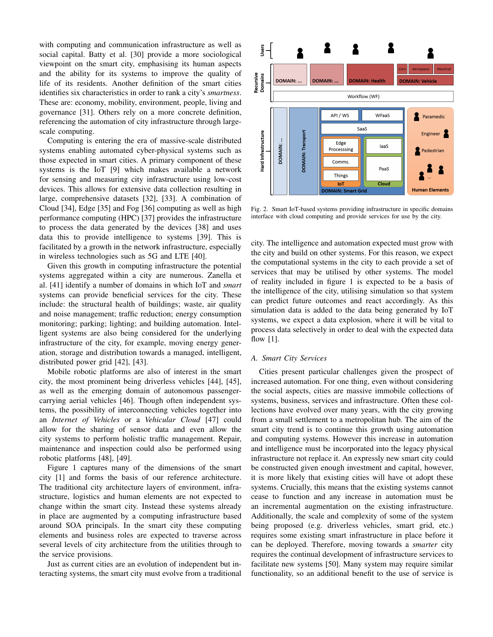with computing and communication infrastructure as well as social capital. Batty et al. [30] provide a more sociological viewpoint on the smart city, emphasising its human aspects and the ability for its systems to improve the quality of life of its residents. Another definition of the smart cities identifies six characteristics in order to rank a city's *smartness*. These are: economy, mobility, environment, people, living and governance [31]. Others rely on a more concrete definition, referencing the automation of city infrastructure through largescale computing.

Computing is entering the era of massive-scale distributed systems enabling automated cyber-physical systems such as those expected in smart cities. A primary component of these systems is the IoT [9] which makes available a network for sensing and measuring city infrastructure using low-cost devices. This allows for extensive data collection resulting in large, comprehensive datasets [32], [33]. A combination of Cloud [34], Edge [35] and Fog [36] computing as well as high performance computing (HPC) [37] provides the infrastructure to process the data generated by the devices [38] and uses data this to provide intelligence to systems [39]. This is facilitated by a growth in the network infrastructure, especially in wireless technologies such as 5G and LTE [40].

Given this growth in computing infrastructure the potential systems aggregated within a city are numerous. Zanella et al. [41] identify a number of domains in which IoT and *smart* systems can provide beneficial services for the city. These include: the structural health of buildings; waste, air quality and noise management; traffic reduction; energy consumption monitoring; parking; lighting; and building automation. Intelligent systems are also being considered for the underlying infrastructure of the city, for example, moving energy generation, storage and distribution towards a managed, intelligent, distributed power grid [42], [43].

Mobile robotic platforms are also of interest in the smart city, the most prominent being driverless vehicles [44], [45], as well as the emerging domain of autonomous passengercarrying aerial vehicles [46]. Though often independent systems, the possibility of interconnecting vehicles together into an *Internet of Vehicles* or a *Vehicular Cloud* [47] could allow for the sharing of sensor data and even allow the city systems to perform holistic traffic management. Repair, maintenance and inspection could also be performed using robotic platforms [48], [49].

Figure 1 captures many of the dimensions of the smart city [1] and forms the basis of our reference architecture. The traditional city architecture layers of environment, infrastructure, logistics and human elements are not expected to change within the smart city. Instead these systems already in place are augmented by a computing infrastructure based around SOA principals. In the smart city these computing elements and business roles are expected to traverse across several levels of city architecture from the utilities through to the service provisions.

Just as current cities are an evolution of independent but interacting systems, the smart city must evolve from a traditional



Fig. 2. Smart IoT-based systems providing infrastructure in specific domains interface with cloud computing and provide services for use by the city.

city. The intelligence and automation expected must grow with the city and build on other systems. For this reason, we expect the computational systems in the city to each provide a set of services that may be utilised by other systems. The model of reality included in figure 1 is expected to be a basis of the intelligence of the city, utilising simulation so that system can predict future outcomes and react accordingly. As this simulation data is added to the data being generated by IoT systems, we expect a data explosion, where it will be vital to process data selectively in order to deal with the expected data flow [1].

#### *A. Smart City Services*

Cities present particular challenges given the prospect of increased automation. For one thing, even without considering the social aspects, cities are massive immobile collections of systems, business, services and infrastructure. Often these collections have evolved over many years, with the city growing from a small settlement to a metropolitan hub. The aim of the smart city trend is to continue this growth using automation and computing systems. However this increase in automation and intelligence must be incorporated into the legacy physical infrastructure not replace it. An expressly new smart city could be constructed given enough investment and capital, however, it is more likely that existing cities will have ot adopt these systems. Crucially, this means that the existing systems cannot cease to function and any increase in automation must be an incremental augmentation on the existing infrastructure. Additionally, the scale and complexity of some of the system being proposed (e.g. driverless vehicles, smart grid, etc.) requires some existing smart infrastructure in place before it can be deployed. Therefore, moving towards a *smarter* city requires the continual development of infrastructure services to facilitate new systems [50]. Many system may require similar functionality, so an additional benefit to the use of service is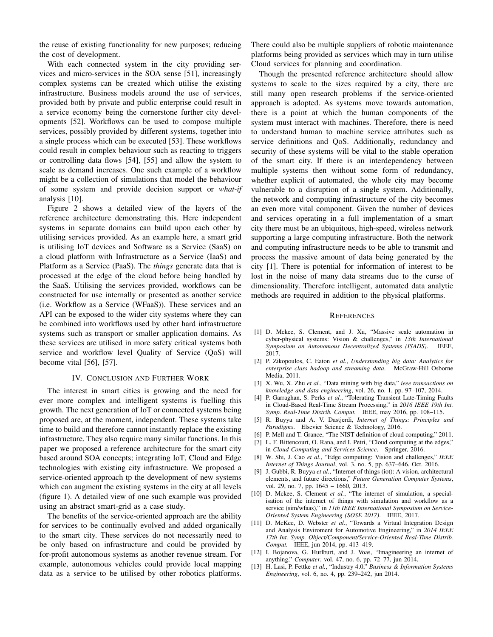the reuse of existing functionality for new purposes; reducing the cost of development.

With each connected system in the city providing services and micro-services in the SOA sense [51], increasingly complex systems can be created which utilise the existing infrastructure. Business models around the use of services, provided both by private and public enterprise could result in a service economy being the cornerstone further city developments [52]. Workflows can be used to compose multiple services, possibly provided by different systems, together into a single process which can be executed [53]. These workflows could result in complex behaviour such as reacting to triggers or controlling data flows [54], [55] and allow the system to scale as demand increases. One such example of a workflow might be a collection of simulations that model the behaviour of some system and provide decision support or *what-if* analysis [10].

Figure 2 shows a detailed view of the layers of the reference architecture demonstrating this. Here independent systems in separate domains can build upon each other by utilising services provided. As an example here, a smart grid is utilising IoT devices and Software as a Service (SaaS) on a cloud platform with Infrastructure as a Service (IaaS) and Platform as a Service (PaaS). The *things* generate data that is processed at the edge of the cloud before being handled by the SaaS. Utilising the services provided, workflows can be constructed for use internally or presented as another service (i.e. Workflow as a Service (WFaaS)). These services and an API can be exposed to the wider city systems where they can be combined into workflows used by other hard infrastructure systems such as transport or smaller application domains. As these services are utilised in more safety critical systems both service and workflow level Quality of Service (QoS) will become vital [56], [57].

#### IV. CONCLUSION AND FURTHER WORK

The interest in smart cities is growing and the need for ever more complex and intelligent systems is fuelling this growth. The next generation of IoT or connected systems being proposed are, at the moment, independent. These systems take time to build and therefore cannot instantly replace the existing infrastructure. They also require many similar functions. In this paper we proposed a reference architecture for the smart city based around SOA concepts; integrating IoT, Cloud and Edge technologies with existing city infrastructure. We proposed a service-oriented approach tp the development of new systems which can augment the existing systems in the city at all levels (figure 1). A detailed view of one such example was provided using an abstract smart-grid as a case study.

The benefits of the service-oriented approach are the ability for services to be continually evolved and added organically to the smart city. These services do not necessarily need to be only based on infrastructure and could be provided by for-profit autonomous systems as another revenue stream. For example, autonomous vehicles could provide local mapping data as a service to be utilised by other robotics platforms. There could also be multiple suppliers of robotic maintenance platforms being provided as services which may in turn utilise Cloud services for planning and coordination.

Though the presented reference architecture should allow systems to scale to the sizes required by a city, there are still many open research problems if the service-oriented approach is adopted. As systems move towards automation, there is a point at which the human components of the system must interact with machines. Therefore, there is need to understand human to machine service attributes such as service definitions and QoS. Additionally, redundancy and security of these systems will be vital to the stable operation of the smart city. If there is an interdependency between multiple systems then without some form of redundancy, whether explicit of automated, the whole city may become vulnerable to a disruption of a single system. Additionally, the network and computing infrastructure of the city becomes an even more vital component. Given the number of devices and services operating in a full implementation of a smart city there must be an ubiquitous, high-speed, wireless network supporting a large computing infrastructure. Both the network and computing infrastructure needs to be able to transmit and process the massive amount of data being generated by the city [1]. There is potential for information of interest to be lost in the noise of many data streams due to the curse of dimensionality. Therefore intelligent, automated data analytic methods are required in addition to the physical platforms.

#### **REFERENCES**

- [1] D. Mckee, S. Clement, and J. Xu, "Massive scale automation in cyber-physical systems: Vision & challenges," in *13th International Symposium on Autonomous Decentralized Systems (ISADS)*. IEEE, 2017.
- [2] P. Zikopoulos, C. Eaton *et al.*, *Understanding big data: Analytics for enterprise class hadoop and streaming data*. McGraw-Hill Osborne Media, 2011.
- [3] X. Wu, X. Zhu *et al.*, "Data mining with big data," *ieee transactions on knowledge and data engineering*, vol. 26, no. 1, pp. 97–107, 2014.
- [4] P. Garraghan, S. Perks *et al.*, "Tolerating Transient Late-Timing Faults in Cloud-Based Real-Time Stream Processing," in *2016 IEEE 19th Int. Symp. Real-Time Distrib. Comput.* IEEE, may 2016, pp. 108–115.
- [5] R. Buyya and A. V. Dastjerdi, *Internet of Things: Principles and Paradigms*. Elsevier Science & Technology, 2016.
- [6] P. Mell and T. Grance, "The NIST definition of cloud computing," 2011. [7] L. F. Bittencourt, O. Rana, and I. Petri, "Cloud computing at the edges,"
- in *Cloud Computing and Services Science*. Springer, 2016. [8] W. Shi, J. Cao *et al.*, "Edge computing: Vision and challenges," *IEEE Internet of Things Journal*, vol. 3, no. 5, pp. 637–646, Oct. 2016.
- [9] J. Gubbi, R. Buyya *et al.*, "Internet of things (iot): A vision, architectural elements, and future directions," *Future Generation Computer Systems*, vol. 29, no. 7, pp. 1645 – 1660, 2013.
- [10] D. Mckee, S. Clement et al., "The internet of simulation, a specialisation of the internet of things with simulation and workflow as a service (sim/wfaas)," in *11th IEEE International Symposium on Service-Oriented System Engineering (SOSE 2017)*. IEEE, 2017.
- [11] D. McKee, D. Webster *et al.*, "Towards a Virtual Integration Design and Analysis Enviroment for Automotive Engineering," in *2014 IEEE 17th Int. Symp. Object/Component/Service-Oriented Real-Time Distrib. Comput.* IEEE, jun 2014, pp. 413–419.
- [12] I. Bojanova, G. Hurlburt, and J. Voas, "Imagineering an internet of anything," *Computer*, vol. 47, no. 6, pp. 72–77, jun 2014.
- [13] H. Lasi, P. Fettke *et al.*, "Industry 4.0," *Business & Information Systems Engineering*, vol. 6, no. 4, pp. 239–242, jun 2014.